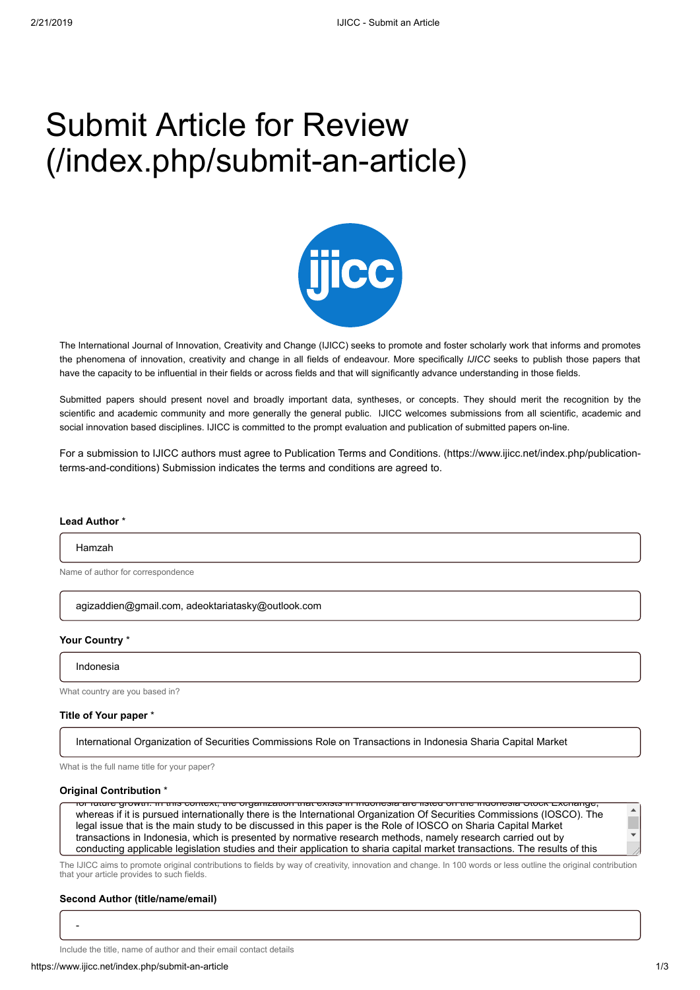## Submit Article for Review [\(/index.php/submit-an-article\)](https://www.ijicc.net/index.php/submit-an-article)



The International Journal of Innovation, Creativity and Change (IJICC) seeks to promote and foster scholarly work that informs and promotes the phenomena of innovation, creativity and change in all fields of endeavour. More specifically *IJICC* seeks to publish those papers that have the capacity to be influential in their fields or across fields and that will significantly advance understanding in those fields.

Submitted papers should present novel and broadly important data, syntheses, or concepts. They should merit the recognition by the scientific and academic community and more generally the general public. IJICC welcomes submissions from all scientific, academic and social innovation based disciplines. IJICC is committed to the prompt evaluation and publication of submitted papers on-line.

[For a submission to IJICC authors must agree to Publication Terms and Conditions. \(https://www.ijicc.net/index.php/publication](https://www.ijicc.net/index.php/publication-terms-and-conditions)terms-and-conditions) Submission indicates the terms and conditions are agreed to.

#### **Lead Author** \*

#### Hamzah

Name of author for correspondence

agizaddien@gmail.com, adeoktariatasky@outlook.com

#### **Your Country** \*

Indonesia

What country are you based in?

#### **Title of Your paper** \*

International Organization of Securities Commissions Role on Transactions in Indonesia Sharia Capital Market

What is the full name title for your paper?

#### **Original Contribution** \*

for future growth. In this context, the organization that exists in Indonesia are listed on the Indonesia Stock Exchange, whereas if it is pursued internationally there is the International Organization Of Securities Commissions (IOSCO). The legal issue that is the main study to be discussed in this paper is the Role of IOSCO on Sharia Capital Market transactions in Indonesia, which is presented by normative research methods, namely research carried out by conducting applicable legislation studies and their application to sharia capital market transactions. The results of this

The IJICC aims to promote original contributions to fields by way of creativity, innovation and change. In 100 words or less outline the original contribution that your article provides to such fields.

#### **Second Author (title/name/email)**

-

Include the title, name of author and their email contact details

 $\overline{\mathbf{z}}$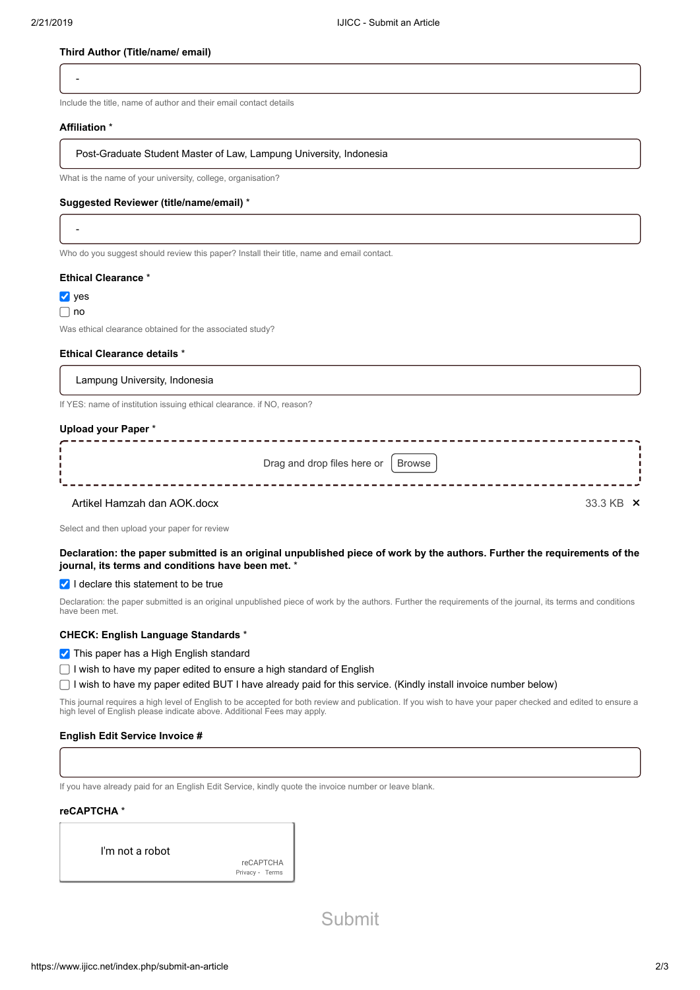#### **Third Author (Title/name/ email)**

-

Include the title, name of author and their email contact details

#### **Affiliation** \*

Post-Graduate Student Master of Law, Lampung University, Indonesia

What is the name of your university, college, organisation?

#### **Suggested Reviewer (title/name/email)** \*

-

Who do you suggest should review this paper? Install their title, name and email contact.

#### **Ethical Clearance** \*

 $\vee$  yes

#### $\Box$  no

Was ethical clearance obtained for the associated study?

#### **Ethical Clearance details** \*

Lampung University, Indonesia

If YES: name of institution issuing ethical clearance. if NO, reason?

#### **Upload your Paper** \*

|                             | Drag and drop files here or   Browse |                    |
|-----------------------------|--------------------------------------|--------------------|
| Artikel Hamzah dan AOK docx |                                      | $33.3$ KR $\times$ |

Select and then upload your paper for review

#### **Declaration: the paper submitted is an original unpublished piece of work by the authors. Further the requirements of the journal, its terms and conditions have been met.** \*

 $\vee$  I declare this statement to be true

Declaration: the paper submitted is an original unpublished piece of work by the authors. Further the requirements of the journal, its terms and conditions have been met.

#### **CHECK: English Language Standards** \*

**This paper has a High English standard** 

 $\Box$  I wish to have my paper edited to ensure a high standard of English

I wish to have my paper edited BUT I have already paid for this service. (Kindly install invoice number below)

This journal requires a high level of English to be accepted for both review and publication. If you wish to have your paper checked and edited to ensure a high level of English please indicate above. Additional Fees may apply.

#### **English Edit Service Invoice #**

If you have already paid for an English Edit Service, kindly quote the invoice number or leave blank.

#### **reCAPTCHA** \*

I'm not a robot

reCAPTCHA [Privacy](https://www.google.com/intl/en-GB/policies/privacy/) - [Terms](https://www.google.com/intl/en-GB/policies/terms/)

Submit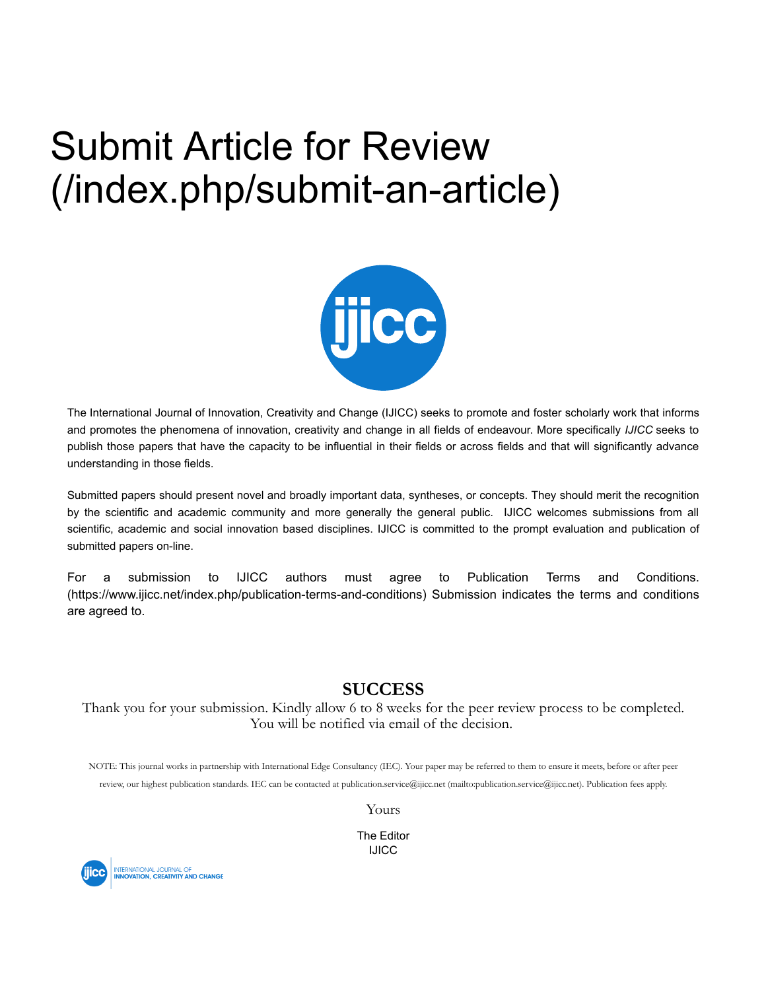## Submit Article for Review [\(/index.php/submit-an-article\)](https://www.ijicc.net/index.php/submit-an-article)



The International Journal of Innovation, Creativity and Change (IJICC) seeks to promote and foster scholarly work that informs and promotes the phenomena of innovation, creativity and change in all fields of endeavour. More specifically *IJICC* seeks to publish those papers that have the capacity to be influential in their fields or across fields and that will significantly advance understanding in those fields.

Submitted papers should present novel and broadly important data, syntheses, or concepts. They should merit the recognition by the scientific and academic community and more generally the general public. IJICC welcomes submissions from all scientific, academic and social innovation based disciplines. IJICC is committed to the prompt evaluation and publication of submitted papers on-line.

For a submission to IJICC authors must agree to Publication Terms and Conditions. [\(https://www.ijicc.net/index.php/publication-terms-and-conditions\)](https://www.ijicc.net/index.php/publication-terms-and-conditions) Submission indicates the terms and conditions are agreed to.

### **SUCCESS**

Thank you for your submission. Kindly allow 6 to 8 weeks for the peer review process to be completed. You will be notified via email of the decision.

NOTE: This journal works in partnership with International Edge Consultancy (IEC). Your paper may be referred to them to ensure it meets, before or after peer review, our highest publication standards. IEC can be contacted at [publication.service@ijicc.net \(mailto:publication.service@ijicc.net\).](mailto:publication.service@ijicc.net) Publication fees apply.

Yours

The Editor IJICC

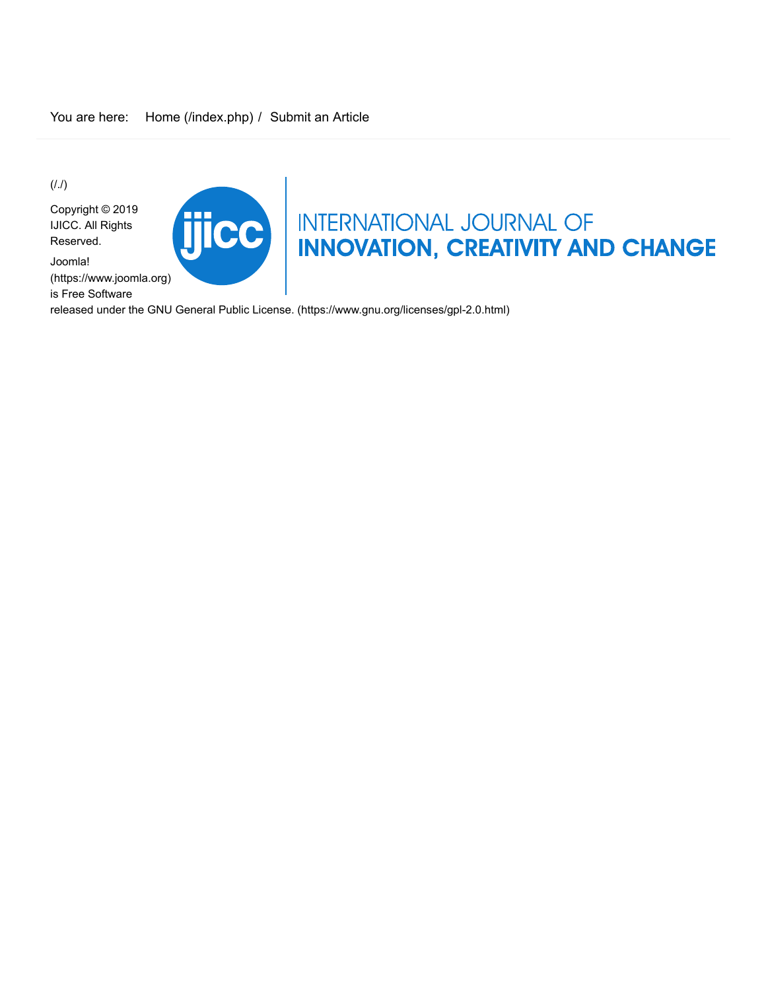$(1.1)$ 

Copyright © 2019 IJICC. All Rights Reserved.

Joomla! [\(https://www.joomla.org\)](https://www.ijicc.net/) is Free Software



# TICC INTERNATIONAL JOURNAL OF INNOVATION, CREATIVITY AND CHANGE

released under the [GNU General Public License. \(https://www.gnu.org/licenses/gpl-2.0.html\)](https://www.gnu.org/licenses/gpl-2.0.html)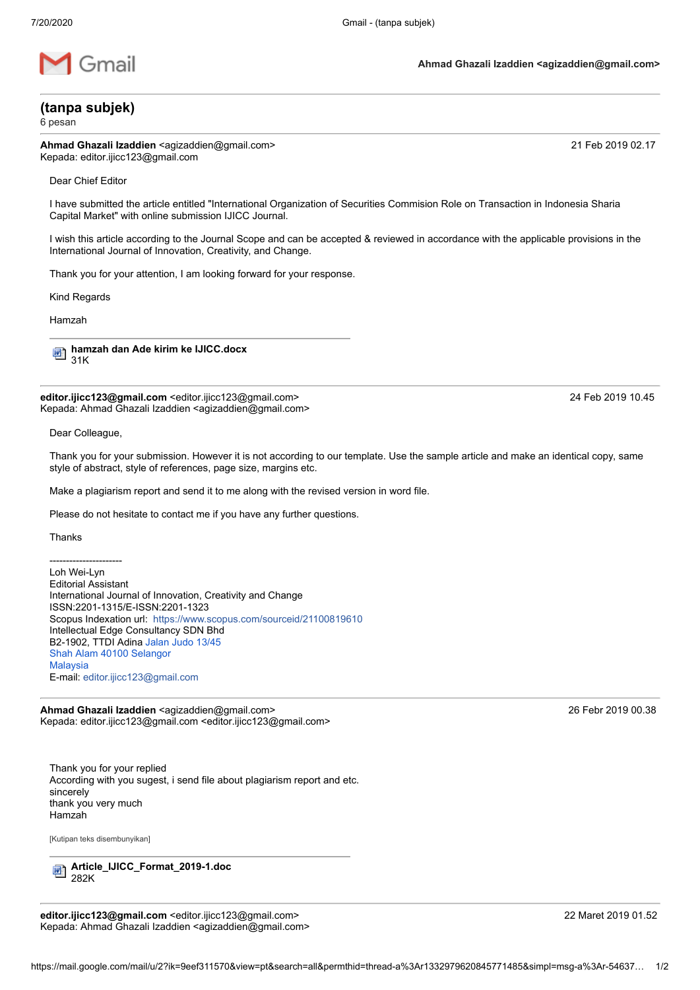

**(tanpa subjek)**

6 pesan

Ahmad Ghazali Izaddien <agizaddien@gmail.com> 21 Feb 2019 02.17 Kepada: editor.ijicc123@gmail.com

Dear Chief Editor

I have submitted the article entitled "International Organization of Securities Commision Role on Transaction in Indonesia Sharia Capital Market" with online submission IJICC Journal.

I wish this article according to the Journal Scope and can be accepted & reviewed in accordance with the applicable provisions in the International Journal of Innovation, Creativity, and Change.

Thank you for your attention, I am looking forward for your response.

Kind Regards

Hamzah

**hamzah dan Ade kirim ke IJICC.docx** 呬 31K

**editor.ijicc123@gmail.com** <editor.ijicc123@gmail.com> 24 Feb 2019 10.45 Kepada: Ahmad Ghazali Izaddien <agizaddien@gmail.com>

Dear Colleague,

Thank you for your submission. However it is not according to our template. Use the sample article and make an identical copy, same style of abstract, style of references, page size, margins etc.

Make a plagiarism report and send it to me along with the revised version in word file.

Please do not hesitate to contact me if you have any further questions.

Thanks

---------------------- Loh Wei-Lyn Editorial Assistant International Journal of Innovation, Creativity and Change ISSN:2201-1315/E-ISSN:2201-1323 Scopus Indexation url: <https://www.scopus.com/sourceid/21100819610> Intellectual Edge Consultancy SDN Bhd B2-1902, TTDI Adina [Jalan Judo 13/45](https://www.google.com/maps/search/Jalan+Judo+13%2F45+Shah+Alam+40100+Selangor+Malaysia?entry=gmail&source=g) [Shah Alam 40100 Selangor](https://www.google.com/maps/search/Jalan+Judo+13%2F45+Shah+Alam+40100+Selangor+Malaysia?entry=gmail&source=g) **[Malaysia](https://www.google.com/maps/search/Jalan+Judo+13%2F45+Shah+Alam+40100+Selangor+Malaysia?entry=gmail&source=g)** E-mail: [editor.ijicc123@gmail.com](mailto:editor.ijicc123@gmail.com)

Ahmad Ghazali Izaddien <agizaddien@gmail.com> 26 Febr 2019 00.38 Kepada: editor.ijicc123@gmail.com <editor.ijicc123@gmail.com>

Thank you for your replied According with you sugest, i send file about plagiarism report and etc. sincerely thank you very much Hamzah

[Kutipan teks disembunyikan]

**Article\_IJICC\_Format\_2019-1.doc** 빤 282K

**editor.ijicc123@gmail.com** <editor.ijicc123@gmail.com> 22 Maret 2019 01.52 Kepada: Ahmad Ghazali Izaddien <agizaddien@gmail.com>